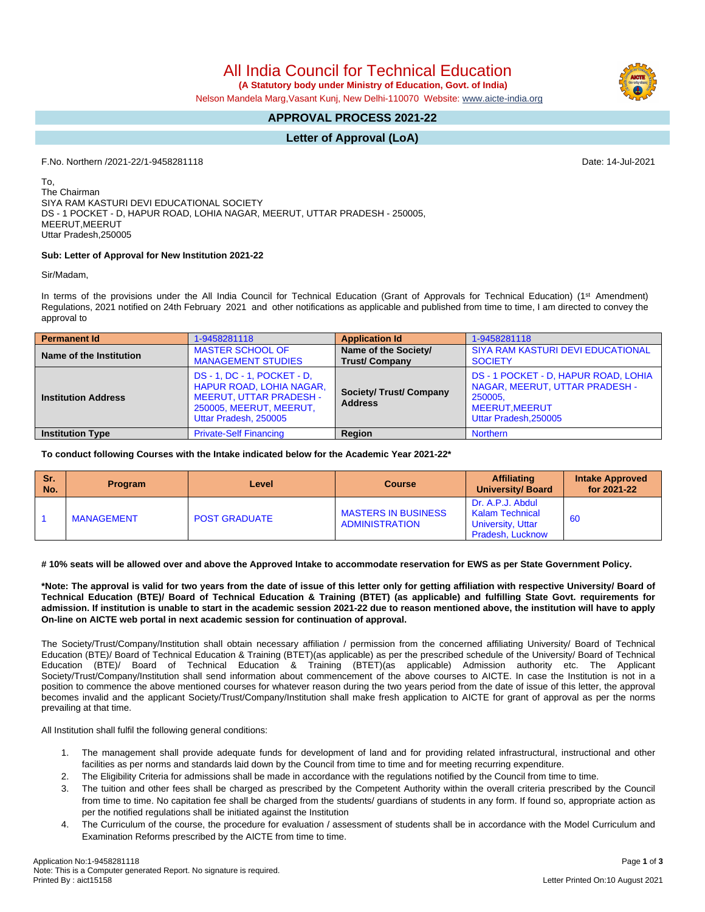All India Council for Technical Education

 **(A Statutory body under Ministry of Education, Govt. of India)**

Nelson Mandela Marg,Vasant Kunj, New Delhi-110070 Website: www.aicte-india.org

## **APPROVAL PROCESS 2021-22**

## **Letter of Approval (LoA)**

F.No. Northern /2021-22/1-9458281118 Date: 14-Jul-2021

To, The Chairman SIYA RAM KASTURI DEVI EDUCATIONAL SOCIETY DS - 1 POCKET - D, HAPUR ROAD, LOHIA NAGAR, MEERUT, UTTAR PRADESH - 250005, MEERUT,MEERUT Uttar Pradesh,250005

#### **Sub: Letter of Approval for New Institution 2021-22**

Sir/Madam,

In terms of the provisions under the All India Council for Technical Education (Grant of Approvals for Technical Education) (1<sup>st</sup> Amendment) Regulations, 2021 notified on 24th February 2021 and other notifications as applicable and published from time to time, I am directed to convey the approval to

| <b>Permanent Id</b>        | 1-9458281118                                                                                                                                   | <b>Application Id</b>                            | 1-9458281118                                                                                                                      |  |  |
|----------------------------|------------------------------------------------------------------------------------------------------------------------------------------------|--------------------------------------------------|-----------------------------------------------------------------------------------------------------------------------------------|--|--|
| Name of the Institution    | <b>MASTER SCHOOL OF</b><br><b>MANAGEMENT STUDIES</b>                                                                                           | Name of the Society/<br><b>Trust/Company</b>     | SIYA RAM KASTURI DEVI EDUCATIONAL<br><b>SOCIETY</b>                                                                               |  |  |
| <b>Institution Address</b> | DS-1, DC-1, POCKET-D,<br><b>HAPUR ROAD, LOHIA NAGAR,</b><br><b>MEERUT, UTTAR PRADESH -</b><br>250005, MEERUT, MEERUT,<br>Uttar Pradesh, 250005 | <b>Society/ Trust/ Company</b><br><b>Address</b> | DS - 1 POCKET - D, HAPUR ROAD, LOHIA<br>NAGAR, MEERUT, UTTAR PRADESH -<br>250005.<br><b>MEERUT.MEERUT</b><br>Uttar Pradesh.250005 |  |  |
| <b>Institution Type</b>    | <b>Private-Self Financing</b>                                                                                                                  | <b>Region</b>                                    | <b>Northern</b>                                                                                                                   |  |  |

**To conduct following Courses with the Intake indicated below for the Academic Year 2021-22\***

| <b>Sr.</b><br>No. | <b>Program</b>    | Level                | <b>Course</b>                                       | <b>Affiliating</b><br><b>University/Board</b>                                              | <b>Intake Approved</b><br>for 2021-22 |
|-------------------|-------------------|----------------------|-----------------------------------------------------|--------------------------------------------------------------------------------------------|---------------------------------------|
|                   | <b>MANAGEMENT</b> | <b>POST GRADUATE</b> | <b>MASTERS IN BUSINESS</b><br><b>ADMINISTRATION</b> | Dr. A.P.J. Abdul<br><b>Kalam Technical</b><br><b>University, Uttar</b><br>Pradesh, Lucknow | 60                                    |

# 10% seats will be allowed over and above the Approved Intake to accommodate reservation for EWS as per State Government Policy.

\*Note: The approval is valid for two years from the date of issue of this letter only for getting affiliation with respective University/ Board of Technical Education (BTE)/ Board of Technical Education & Training (BTET) (as applicable) and fulfilling State Govt. requirements for admission. If institution is unable to start in the academic session 2021-22 due to reason mentioned above, the institution will have to apply **On-line on AICTE web portal in next academic session for continuation of approval.**

The Society/Trust/Company/Institution shall obtain necessary affiliation / permission from the concerned affiliating University/ Board of Technical Education (BTE)/ Board of Technical Education & Training (BTET)(as applicable) as per the prescribed schedule of the University/ Board of Technical Education (BTE)/ Board of Technical Education & Training (BTET)(as applicable) Admission authority etc. The Applicant Society/Trust/Company/Institution shall send information about commencement of the above courses to AICTE. In case the Institution is not in a position to commence the above mentioned courses for whatever reason during the two years period from the date of issue of this letter, the approval becomes invalid and the applicant Society/Trust/Company/Institution shall make fresh application to AICTE for grant of approval as per the norms prevailing at that time.

All Institution shall fulfil the following general conditions:

- 1. The management shall provide adequate funds for development of land and for providing related infrastructural, instructional and other facilities as per norms and standards laid down by the Council from time to time and for meeting recurring expenditure.
- 2. The Eligibility Criteria for admissions shall be made in accordance with the regulations notified by the Council from time to time.
- 3. The tuition and other fees shall be charged as prescribed by the Competent Authority within the overall criteria prescribed by the Council from time to time. No capitation fee shall be charged from the students/ guardians of students in any form. If found so, appropriate action as per the notified regulations shall be initiated against the Institution
- 4. The Curriculum of the course, the procedure for evaluation / assessment of students shall be in accordance with the Model Curriculum and Examination Reforms prescribed by the AICTE from time to time.



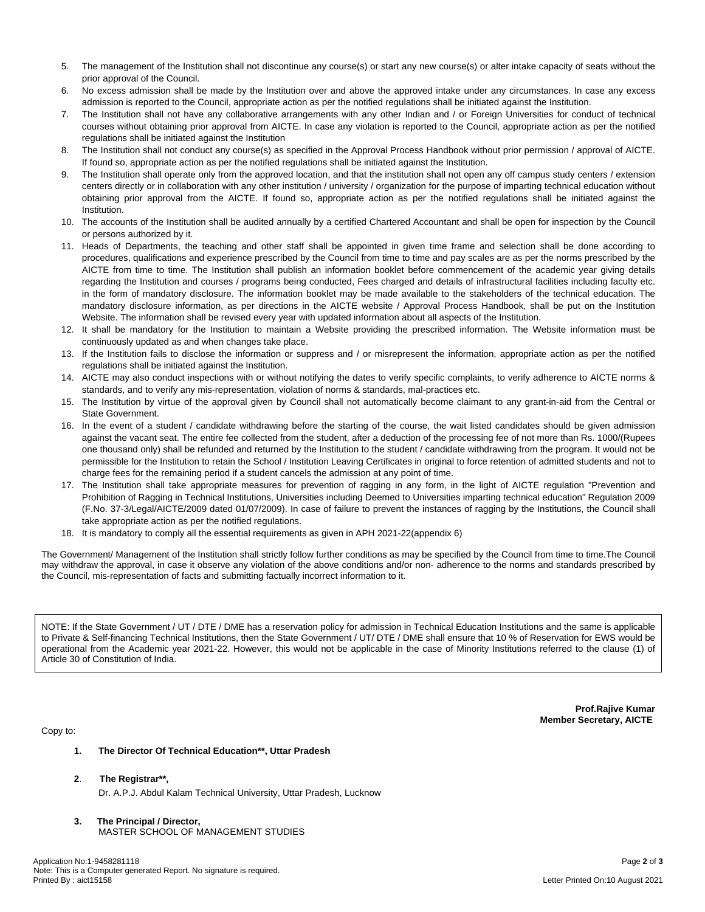- 5. The management of the Institution shall not discontinue any course(s) or start any new course(s) or alter intake capacity of seats without the prior approval of the Council.
- 6. No excess admission shall be made by the Institution over and above the approved intake under any circumstances. In case any excess admission is reported to the Council, appropriate action as per the notified regulations shall be initiated against the Institution.
- 7. The Institution shall not have any collaborative arrangements with any other Indian and / or Foreign Universities for conduct of technical courses without obtaining prior approval from AICTE. In case any violation is reported to the Council, appropriate action as per the notified regulations shall be initiated against the Institution
- 8. The Institution shall not conduct any course(s) as specified in the Approval Process Handbook without prior permission / approval of AICTE. If found so, appropriate action as per the notified regulations shall be initiated against the Institution.
- 9. The Institution shall operate only from the approved location, and that the institution shall not open any off campus study centers / extension centers directly or in collaboration with any other institution / university / organization for the purpose of imparting technical education without obtaining prior approval from the AICTE. If found so, appropriate action as per the notified regulations shall be initiated against the Institution.
- 10. The accounts of the Institution shall be audited annually by a certified Chartered Accountant and shall be open for inspection by the Council or persons authorized by it.
- 11. Heads of Departments, the teaching and other staff shall be appointed in given time frame and selection shall be done according to procedures, qualifications and experience prescribed by the Council from time to time and pay scales are as per the norms prescribed by the AICTE from time to time. The Institution shall publish an information booklet before commencement of the academic year giving details regarding the Institution and courses / programs being conducted, Fees charged and details of infrastructural facilities including faculty etc. in the form of mandatory disclosure. The information booklet may be made available to the stakeholders of the technical education. The mandatory disclosure information, as per directions in the AICTE website / Approval Process Handbook, shall be put on the Institution Website. The information shall be revised every year with updated information about all aspects of the Institution.
- 12. It shall be mandatory for the Institution to maintain a Website providing the prescribed information. The Website information must be continuously updated as and when changes take place.
- 13. If the Institution fails to disclose the information or suppress and / or misrepresent the information, appropriate action as per the notified regulations shall be initiated against the Institution.
- 14. AICTE may also conduct inspections with or without notifying the dates to verify specific complaints, to verify adherence to AICTE norms & standards, and to verify any mis-representation, violation of norms & standards, mal-practices etc.
- 15. The Institution by virtue of the approval given by Council shall not automatically become claimant to any grant-in-aid from the Central or State Government.
- 16. In the event of a student / candidate withdrawing before the starting of the course, the wait listed candidates should be given admission against the vacant seat. The entire fee collected from the student, after a deduction of the processing fee of not more than Rs. 1000/(Rupees one thousand only) shall be refunded and returned by the Institution to the student / candidate withdrawing from the program. It would not be permissible for the Institution to retain the School / Institution Leaving Certificates in original to force retention of admitted students and not to charge fees for the remaining period if a student cancels the admission at any point of time.
- 17. The Institution shall take appropriate measures for prevention of ragging in any form, in the light of AICTE regulation "Prevention and Prohibition of Ragging in Technical Institutions, Universities including Deemed to Universities imparting technical education" Regulation 2009 (F.No. 37-3/Legal/AICTE/2009 dated 01/07/2009). In case of failure to prevent the instances of ragging by the Institutions, the Council shall take appropriate action as per the notified regulations.
- 18. It is mandatory to comply all the essential requirements as given in APH 2021-22(appendix 6)

The Government/ Management of the Institution shall strictly follow further conditions as may be specified by the Council from time to time.The Council may withdraw the approval, in case it observe any violation of the above conditions and/or non- adherence to the norms and standards prescribed by the Council, mis-representation of facts and submitting factually incorrect information to it.

NOTE: If the State Government / UT / DTE / DME has a reservation policy for admission in Technical Education Institutions and the same is applicable to Private & Self-financing Technical Institutions, then the State Government / UT/ DTE / DME shall ensure that 10 % of Reservation for EWS would be operational from the Academic year 2021-22. However, this would not be applicable in the case of Minority Institutions referred to the clause (1) of Article 30 of Constitution of India.

Copy to:

**Prof.Rajive Kumar Member Secretary, AICTE**

- **1. The Director Of Technical Education\*\*, Uttar Pradesh**
- **2**. **The Registrar\*\*,**
	- Dr. A.P.J. Abdul Kalam Technical University, Uttar Pradesh, Lucknow
- **3. The Principal / Director,** MASTER SCHOOL OF MANAGEMENT STUDIES